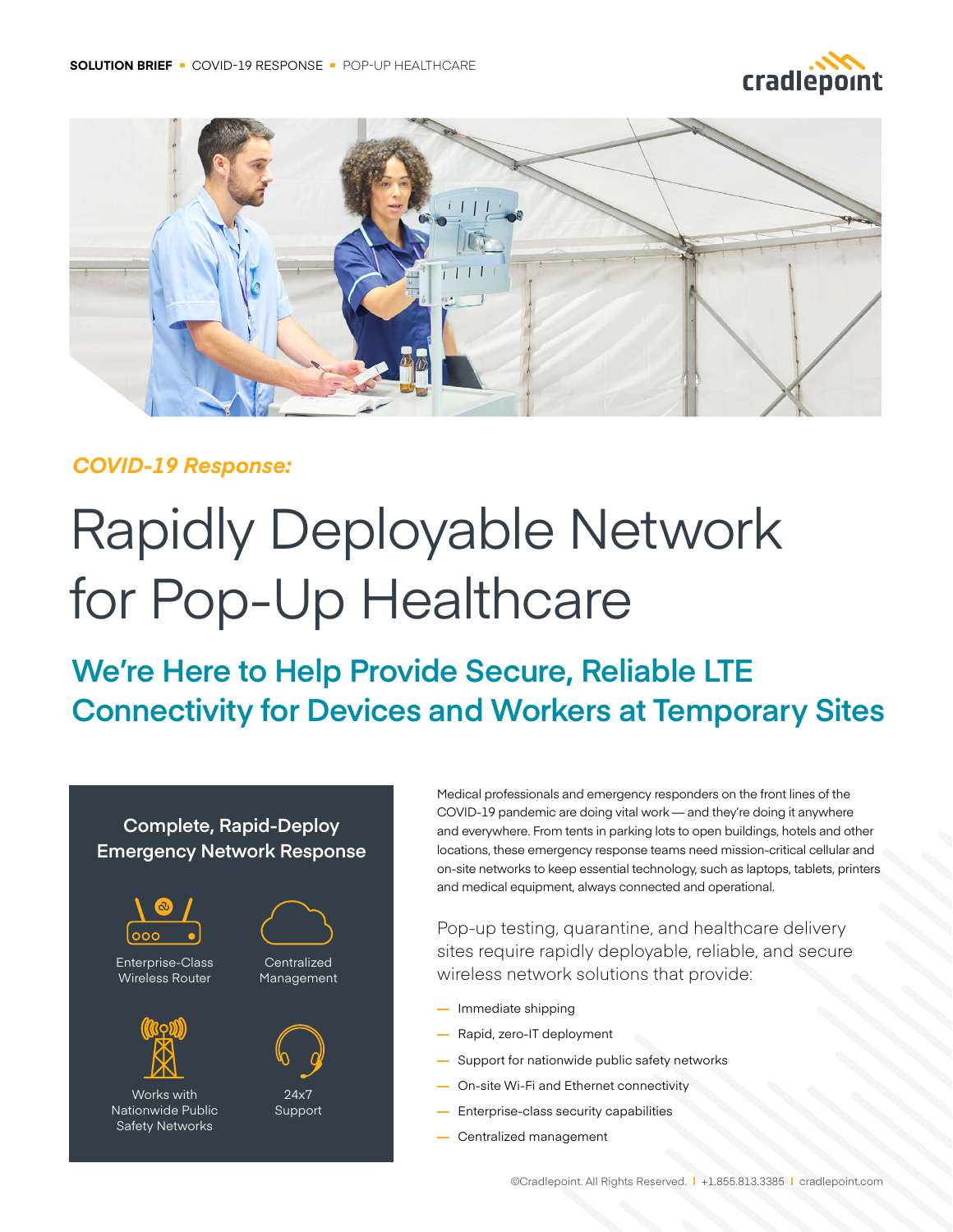



### *COVID-19 Response:*

# Rapidly Deployable Network for Pop-Up Healthcare

**We're Here to Help Provide Secure, Reliable LTE Connectivity for Devices and Workers at Temporary Sites**

#### **Complete, Rapid-Deploy Emergency Network Response**



Enterprise-Class Wireless Router



Works with Nationwide Public Safety Networks





24x7 Support Medical professionals and emergency responders on the front lines of the COVID-19 pandemic are doing vital work — and they're doing it anywhere and everywhere. From tents in parking lots to open buildings, hotels and other locations, these emergency response teams need mission-critical cellular and on-site networks to keep essential technology, such as laptops, tablets, printers and medical equipment, always connected and operational.

Pop-up testing, quarantine, and healthcare delivery sites require rapidly deployable, reliable, and secure wireless network solutions that provide:

- **—** Immediate shipping
- **—** Rapid, zero-IT deployment
- **—** Support for nationwide public safety networks
- **—** On-site Wi-Fi and Ethernet connectivity
- **—** Enterprise-class security capabilities
- **—** Centralized management